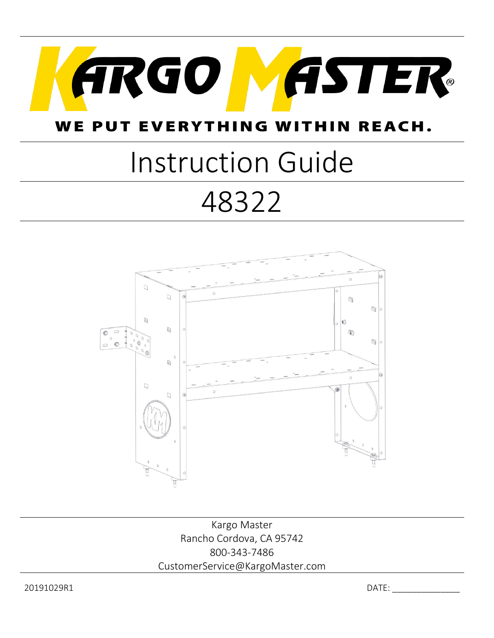

#### WE PUT EVERYTHING IIN REACH. W

# Instruction Guide 48322



Kargo Master Rancho Cordova, CA 95742 800-343-7486 CustomerService@KargoMaster.com

20191029R1 DATE: \_\_\_\_\_\_\_\_\_\_\_\_\_\_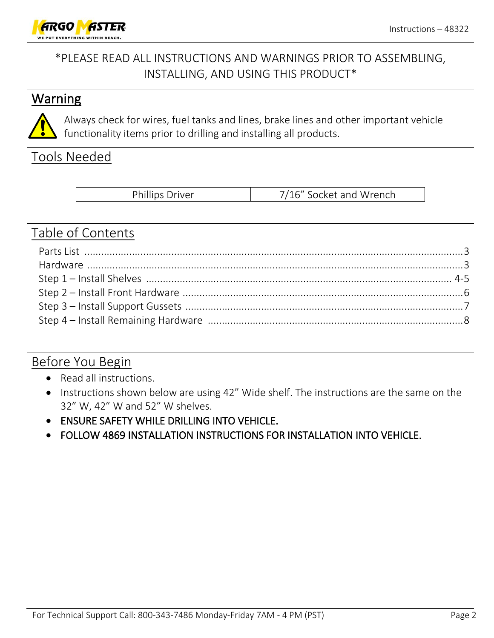

### \*PLEASE READ ALL INSTRUCTIONS AND WARNINGS PRIOR TO ASSEMBLING, INSTALLING, AND USING THIS PRODUCT\*

#### **Warning**



Always check for wires, fuel tanks and lines, brake lines and other important vehicle functionality items prior to drilling and installing all products.

#### Tools Needed

| <b>Phillips Driver</b> | 7/16" Socket and Wrench |
|------------------------|-------------------------|
|------------------------|-------------------------|

#### Table of Contents

#### Before You Begin

- Read all instructions.
- Instructions shown below are using 42" Wide shelf. The instructions are the same on the 32" W, 42" W and 52" W shelves.
- ENSURE SAFETY WHILE DRILLING INTO VEHICLE.
- FOLLOW 4869 INSTALLATION INSTRUCTIONS FOR INSTALLATION INTO VEHICLE.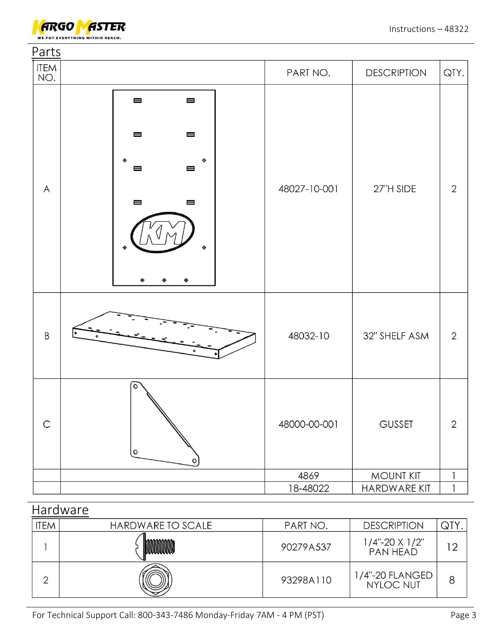

| Parts        |                                                                                                                                                                                                        |              |                    |                |
|--------------|--------------------------------------------------------------------------------------------------------------------------------------------------------------------------------------------------------|--------------|--------------------|----------------|
| ITEM<br>NO.  |                                                                                                                                                                                                        | PART NO.     | <b>DESCRIPTION</b> | QTY.           |
| $\mathsf{A}$ | $\qquad \qquad \blacksquare$<br>$\qquad \qquad \blacksquare$<br>$\qquad \qquad \blacksquare$<br>$\qquad \qquad \blacksquare$<br>$\qquad \qquad \blacksquare$<br>⊟<br>$\qquad \qquad \blacksquare$<br>⊟ | 48027-10-001 | 27"H SIDE          | $\mathbf{2}$   |
| $\sf B$      |                                                                                                                                                                                                        | 48032-10     | 32" SHELF ASM      | $\overline{2}$ |
| $\mathsf C$  | $\circ$<br>$\mathsf{o}$<br>$\circ$                                                                                                                                                                     | 48000-00-001 | <b>GUSSET</b>      | $\overline{2}$ |
|              |                                                                                                                                                                                                        | 4869         | <b>MOUNT KIT</b>   | $\mathbf{1}$   |
|              |                                                                                                                                                                                                        | 18-48022     | HARDWARE KIT       | $\mathbf{1}$   |

| Hardware    |                   |           |                                         |                |  |  |  |
|-------------|-------------------|-----------|-----------------------------------------|----------------|--|--|--|
| <b>ITEM</b> | HARDWARE TO SCALE | PART NO.  | <b>DESCRIPTION</b>                      | QTY            |  |  |  |
|             |                   | 90279A537 | $1/4$ "-20 X $1/2$ "<br><b>PAN HEAD</b> | $\overline{2}$ |  |  |  |
| っ           |                   | 93298A110 | 1/4"-20 FLANGED<br><b>NYLOC NUT</b>     |                |  |  |  |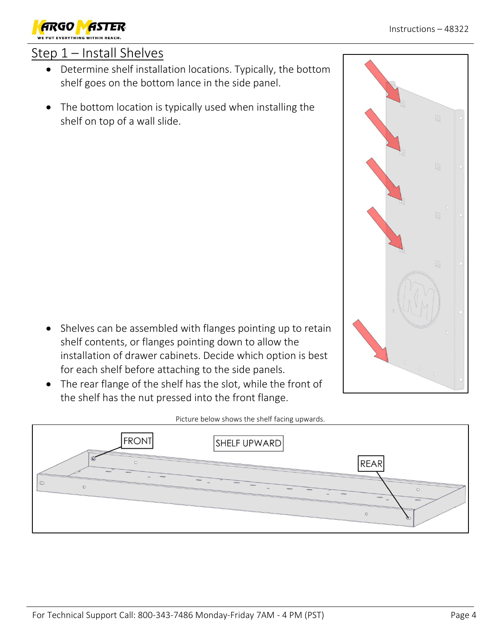## Step 1 – Install Shelves

- Determine shelf installation locations. Typically, the bottom shelf goes on the bottom lance in the side panel.
- The bottom location is typically used when installing the shelf on top of a wall slide.

- Shelves can be assembled with flanges pointing up to retain shelf contents, or flanges pointing down to allow the installation of drawer cabinets. Decide which option is best for each shelf before attaching to the side panels.
- The rear flange of the shelf has the slot, while the front of the shelf has the nut pressed into the front flange.

**FRONT** 

#### Picture below shows the shelf facing upwards.

SHELF UPWARD



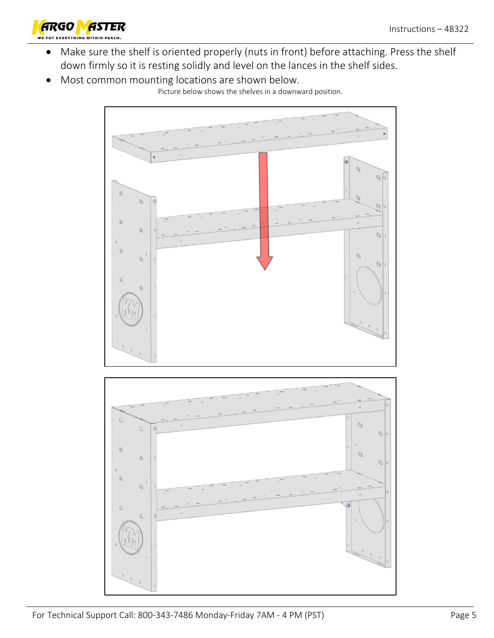

- Make sure the shelf is oriented properly (nuts in front) before attaching. Press the shelf down firmly so it is resting solidly and level on the lances in the shelf sides.
- Most common mounting locations are shown below.

Picture below shows the shelves in a downward position.

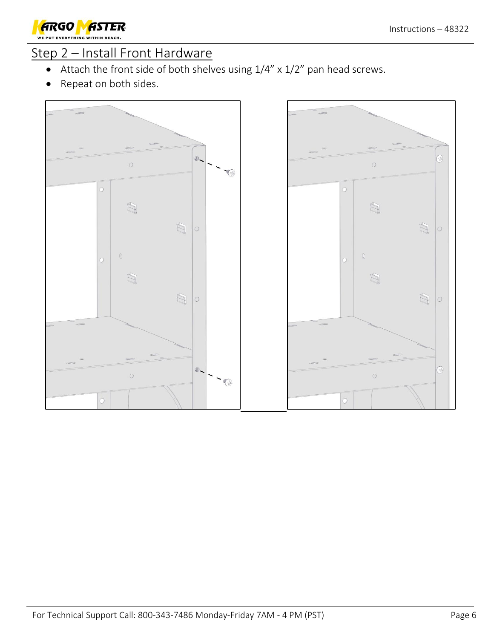

#### Step 2 – Install Front Hardware

- Attach the front side of both shelves using 1/4" x 1/2" pan head screws.
- Repeat on both sides.



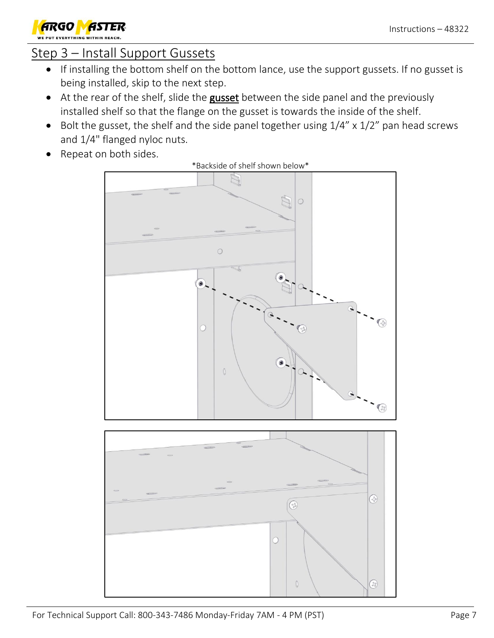

### Step 3 – Install Support Gussets

- If installing the bottom shelf on the bottom lance, use the support gussets. If no gusset is being installed, skip to the next step.
- At the rear of the shelf, slide the gusset between the side panel and the previously installed shelf so that the flange on the gusset is towards the inside of the shelf.
- Bolt the gusset, the shelf and the side panel together using  $1/4''$  x  $1/2''$  pan head screws and 1/4" flanged nyloc nuts.
- Repeat on both sides.